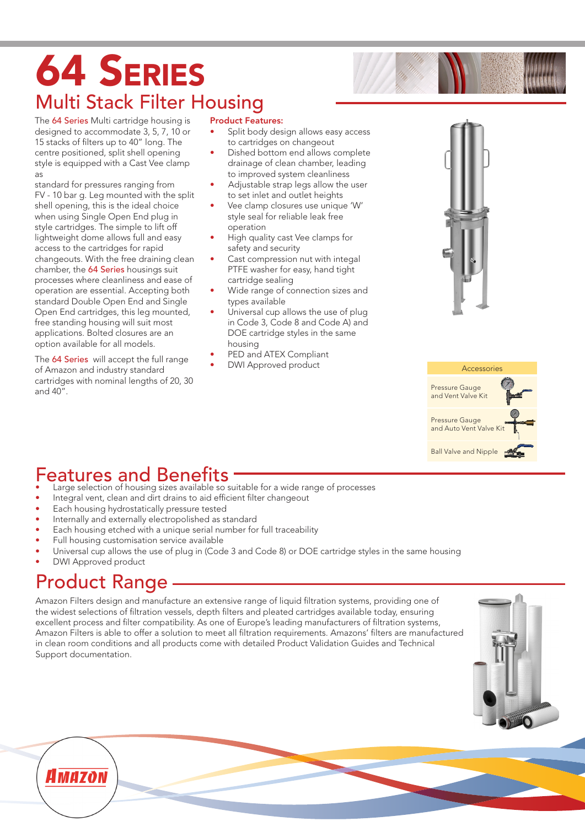# 64 Series Multi Stack Filter Housing

The 64 Series Multi cartridge housing is designed to accommodate 3, 5, 7, 10 or 15 stacks of filters up to 40" long. The centre positioned, split shell opening style is equipped with a Cast Vee clamp as

standard for pressures ranging from FV - 10 bar g. Leg mounted with the split shell opening, this is the ideal choice when using Single Open End plug in style cartridges. The simple to lift off lightweight dome allows full and easy access to the cartridges for rapid changeouts. With the free draining clean chamber, the 64 Series housings suit processes where cleanliness and ease of operation are essential. Accepting both standard Double Open End and Single Open End cartridges, this leg mounted, free standing housing will suit most applications. Bolted closures are an option available for all models.

The 64 Series will accept the full range of Amazon and industry standard cartridges with nominal lengths of 20, 30 and 40".

#### Product Features:

- Split body design allows easy access to cartridges on changeout
- Dished bottom end allows complete drainage of clean chamber, leading to improved system cleanliness
- Adjustable strap legs allow the user to set inlet and outlet heights
- Vee clamp closures use unique 'W' style seal for reliable leak free operation
- High quality cast Vee clamps for safety and security
- Cast compression nut with integal PTFE washer for easy, hand tight cartridge sealing
- Wide range of connection sizes and types available
- Universal cup allows the use of plug in Code 3, Code 8 and Code A) and DOE cartridge styles in the same housing
- PED and ATEX Compliant
- DWI Approved product





#### Features and Benefits

- Large selection of housing sizes available so suitable for a wide range of processes
- Integral vent, clean and dirt drains to aid efficient filter changeout
- Each housing hydrostatically pressure tested
- Internally and externally electropolished as standard
- Each housing etched with a unique serial number for full traceability
- Full housing customisation service available
- Universal cup allows the use of plug in (Code 3 and Code 8) or DOE cartridge styles in the same housing
- DWI Approved product

### Product Range

Amazon Filters design and manufacture an extensive range of liquid filtration systems, providing one of the widest selections of filtration vessels, depth filters and pleated cartridges available today, ensuring excellent process and filter compatibility. As one of Europe's leading manufacturers of filtration systems, Amazon Filters is able to offer a solution to meet all filtration requirements. Amazons' filters are manufactured in clean room conditions and all products come with detailed Product Validation Guides and Technical Support documentation.